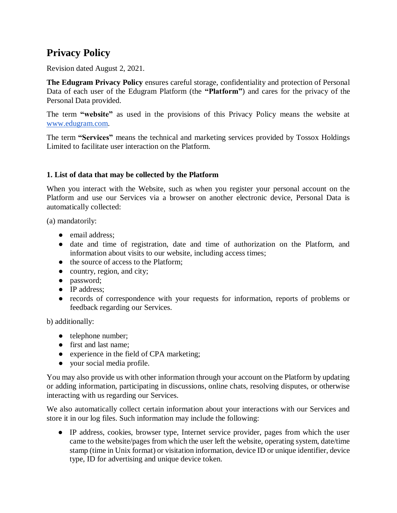# **Privacy Policy**

Revision dated August 2, 2021.

**The Edugram Privacy Policy** ensures careful storage, confidentiality and protection of Personal Data of each user of the Edugram Platform (the **"Platform"**) and cares for the privacy of the Personal Data provided.

The term **"website"** as used in the provisions of this Privacy Policy means the website at [www.edugram.com.](http://www.edugram.com/)

The term **"Services"** means the technical and marketing services provided by Tossox Holdings Limited to facilitate user interaction on the Platform.

## **1. List of data that may be collected by the Platform**

When you interact with the Website, such as when you register your personal account on the Platform and use our Services via a browser on another electronic device, Personal Data is automatically collected:

(a) mandatorily:

- email address:
- date and time of registration, date and time of authorization on the Platform, and information about visits to our website, including access times;
- the source of access to the Platform:
- country, region, and city;
- password;
- IP address:
- records of correspondence with your requests for information, reports of problems or feedback regarding our Services.

b) additionally:

- telephone number;
- first and last name;
- experience in the field of CPA marketing;
- your social media profile.

You may also provide us with other information through your account on the Platform by updating or adding information, participating in discussions, online chats, resolving disputes, or otherwise interacting with us regarding our Services.

We also automatically collect certain information about your interactions with our Services and store it in our log files. Such information may include the following:

● IP address, cookies, browser type, Internet service provider, pages from which the user came to the website/pages from which the user left the website, operating system, date/time stamp (time in Unix format) or visitation information, device ID or unique identifier, device type, ID for advertising and unique device token.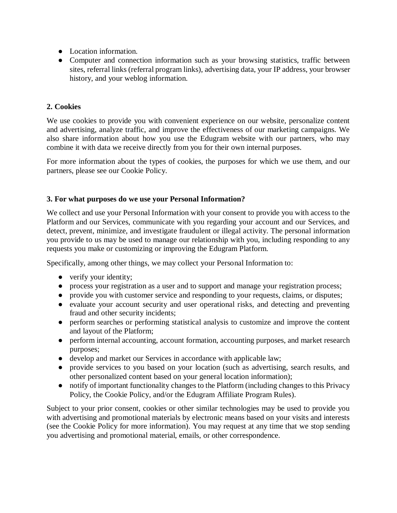- Location information.
- Computer and connection information such as your browsing statistics, traffic between sites, referral links (referral program links), advertising data, your IP address, your browser history, and your weblog information.

## **2. Cookies**

We use cookies to provide you with convenient experience on our website, personalize content and advertising, analyze traffic, and improve the effectiveness of our marketing campaigns. We also share information about how you use the Edugram website with our partners, who may combine it with data we receive directly from you for their own internal purposes.

For more information about the types of cookies, the purposes for which we use them, and our partners, please see our Cookie Policy.

#### **3. For what purposes do we use your Personal Information?**

We collect and use your Personal Information with your consent to provide you with access to the Platform and our Services, communicate with you regarding your account and our Services, and detect, prevent, minimize, and investigate fraudulent or illegal activity. The personal information you provide to us may be used to manage our relationship with you, including responding to any requests you make or customizing or improving the Edugram Platform.

Specifically, among other things, we may collect your Personal Information to:

- verify your identity;
- process your registration as a user and to support and manage your registration process;
- provide you with customer service and responding to your requests, claims, or disputes;
- evaluate your account security and user operational risks, and detecting and preventing fraud and other security incidents;
- perform searches or performing statistical analysis to customize and improve the content and layout of the Platform;
- perform internal accounting, account formation, accounting purposes, and market research purposes;
- develop and market our Services in accordance with applicable law;
- provide services to you based on your location (such as advertising, search results, and other personalized content based on your general location information);
- notify of important functionality changes to the Platform (including changes to this Privacy Policy, the Cookie Policy, and/or the Edugram Affiliate Program Rules).

Subject to your prior consent, cookies or other similar technologies may be used to provide you with advertising and promotional materials by electronic means based on your visits and interests (see the Cookie Policy for more information). You may request at any time that we stop sending you advertising and promotional material, emails, or other correspondence.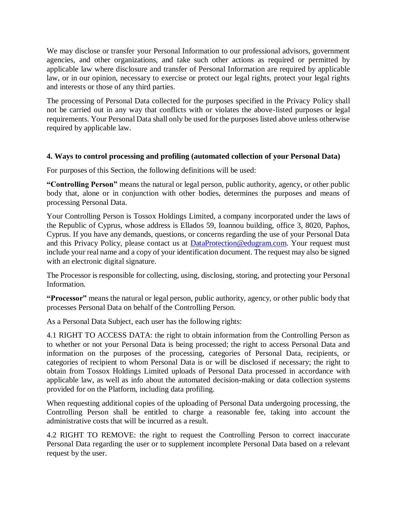We may disclose or transfer your Personal Information to our professional advisors, government agencies, and other organizations, and take such other actions as required or permitted by applicable law where disclosure and transfer of Personal Information are required by applicable law, or in our opinion, necessary to exercise or protect our legal rights, protect your legal rights and interests or those of any third parties.

The processing of Personal Data collected for the purposes specified in the Privacy Policy shall not be carried out in any way that conflicts with or violates the above-listed purposes or legal requirements. Your Personal Data shall only be used for the purposes listed above unless otherwise required by applicable law.

## **4. Ways to control processing and profiling (automated collection of your Personal Data)**

For purposes of this Section, the following definitions will be used:

**"Controlling Person"** means the natural or legal person, public authority, agency, or other public body that, alone or in conjunction with other bodies, determines the purposes and means of processing Personal Data.

Your Controlling Person is Tossox Holdings Limited, a company incorporated under the laws of the Republic of Cyprus, whose address is Ellados 59, Ioannou building, office 3, 8020, Paphos, Cyprus. If you have any demands, questions, or concerns regarding the use of your Personal Data and this Privacy Policy, please contact us at [DataProtection@edugram.com.](mailto:DataProtection@edugram.com) Your request must include your real name and a copy of your identification document. The request may also be signed with an electronic digital signature.

The Processor is responsible for collecting, using, disclosing, storing, and protecting your Personal Information.

**"Processor"** means the natural or legal person, public authority, agency, or other public body that processes Personal Data on behalf of the Controlling Person.

As a Personal Data Subject, each user has the following rights:

4.1 RIGHT TO ACCESS DATA: the right to obtain information from the Controlling Person as to whether or not your Personal Data is being processed; the right to access Personal Data and information on the purposes of the processing, categories of Personal Data, recipients, or categories of recipient to whom Personal Data is or will be disclosed if necessary; the right to obtain from Tossox Holdings Limited uploads of Personal Data processed in accordance with applicable law, as well as info about the automated decision-making or data collection systems provided for on the Platform, including data profiling.

When requesting additional copies of the uploading of Personal Data undergoing processing, the Controlling Person shall be entitled to charge a reasonable fee, taking into account the administrative costs that will be incurred as a result.

4.2 RIGHT TO REMOVE: the right to request the Controlling Person to correct inaccurate Personal Data regarding the user or to supplement incomplete Personal Data based on a relevant request by the user.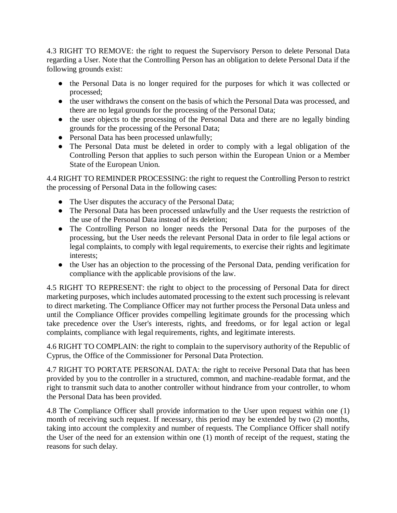4.3 RIGHT TO REMOVE: the right to request the Supervisory Person to delete Personal Data regarding a User. Note that the Controlling Person has an obligation to delete Personal Data if the following grounds exist:

- the Personal Data is no longer required for the purposes for which it was collected or processed;
- the user withdraws the consent on the basis of which the Personal Data was processed, and there are no legal grounds for the processing of the Personal Data;
- the user objects to the processing of the Personal Data and there are no legally binding grounds for the processing of the Personal Data;
- Personal Data has been processed unlawfully;
- The Personal Data must be deleted in order to comply with a legal obligation of the Controlling Person that applies to such person within the European Union or a Member State of the European Union.

4.4 RIGHT TO REMINDER PROCESSING: the right to request the Controlling Person to restrict the processing of Personal Data in the following cases:

- The User disputes the accuracy of the Personal Data;
- The Personal Data has been processed unlawfully and the User requests the restriction of the use of the Personal Data instead of its deletion;
- The Controlling Person no longer needs the Personal Data for the purposes of the processing, but the User needs the relevant Personal Data in order to file legal actions or legal complaints, to comply with legal requirements, to exercise their rights and legitimate interests;
- the User has an objection to the processing of the Personal Data, pending verification for compliance with the applicable provisions of the law.

4.5 RIGHT TO REPRESENT: the right to object to the processing of Personal Data for direct marketing purposes, which includes automated processing to the extent such processing is relevant to direct marketing. The Compliance Officer may not further process the Personal Data unless and until the Compliance Officer provides compelling legitimate grounds for the processing which take precedence over the User's interests, rights, and freedoms, or for legal action or legal complaints, compliance with legal requirements, rights, and legitimate interests.

4.6 RIGHT TO COMPLAIN: the right to complain to the supervisory authority of the Republic of Cyprus, the Office of the Commissioner for Personal Data Protection.

4.7 RIGHT TO PORTATE PERSONAL DATA: the right to receive Personal Data that has been provided by you to the controller in a structured, common, and machine-readable format, and the right to transmit such data to another controller without hindrance from your controller, to whom the Personal Data has been provided.

4.8 The Compliance Officer shall provide information to the User upon request within one (1) month of receiving such request. If necessary, this period may be extended by two (2) months, taking into account the complexity and number of requests. The Compliance Officer shall notify the User of the need for an extension within one (1) month of receipt of the request, stating the reasons for such delay.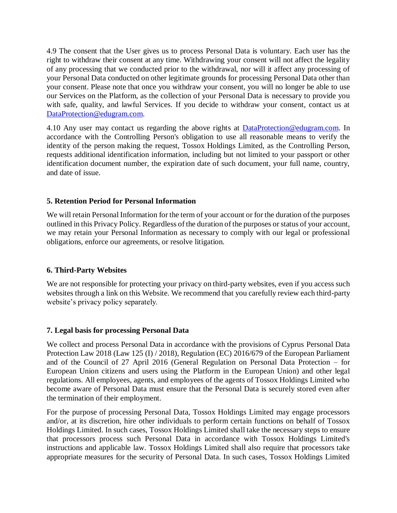4.9 The consent that the User gives us to process Personal Data is voluntary. Each user has the right to withdraw their consent at any time. Withdrawing your consent will not affect the legality of any processing that we conducted prior to the withdrawal, nor will it affect any processing of your Personal Data conducted on other legitimate grounds for processing Personal Data other than your consent. Please note that once you withdraw your consent, you will no longer be able to use our Services on the Platform, as the collection of your Personal Data is necessary to provide you with safe, quality, and lawful Services. If you decide to withdraw your consent, contact us at [DataProtection@edugram.com.](mailto:DataProtection@edugram.com)

4.10 Any user may contact us regarding the above rights at **DataProtection@edugram.com**. In accordance with the Controlling Person's obligation to use all reasonable means to verify the identity of the person making the request, Tossox Holdings Limited, as the Controlling Person, requests additional identification information, including but not limited to your passport or other identification document number, the expiration date of such document, your full name, country, and date of issue.

## **5. Retention Period for Personal Information**

We will retain Personal Information for the term of your account or for the duration of the purposes outlined in this Privacy Policy. Regardless of the duration of the purposes or status of your account, we may retain your Personal Information as necessary to comply with our legal or professional obligations, enforce our agreements, or resolve litigation.

#### **6. Third-Party Websites**

We are not responsible for protecting your privacy on third-party websites, even if you access such websites through a link on this Website. We recommend that you carefully review each third-party website's privacy policy separately.

#### **7. Legal basis for processing Personal Data**

We collect and process Personal Data in accordance with the provisions of Cyprus Personal Data Protection Law 2018 (Law 125 (I) / 2018), Regulation (EC) 2016/679 of the European Parliament and of the Council of 27 April 2016 (General Regulation on Personal Data Protection – for European Union citizens and users using the Platform in the European Union) and other legal regulations. All employees, agents, and employees of the agents of Tossox Holdings Limited who become aware of Personal Data must ensure that the Personal Data is securely stored even after the termination of their employment.

For the purpose of processing Personal Data, Tossox Holdings Limited may engage processors and/or, at its discretion, hire other individuals to perform certain functions on behalf of Tossox Holdings Limited. In such cases, Tossox Holdings Limited shall take the necessary steps to ensure that processors process such Personal Data in accordance with Tossox Holdings Limited's instructions and applicable law. Tossox Holdings Limited shall also require that processors take appropriate measures for the security of Personal Data. In such cases, Tossox Holdings Limited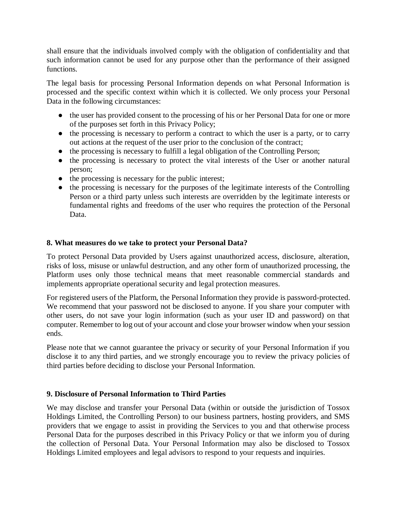shall ensure that the individuals involved comply with the obligation of confidentiality and that such information cannot be used for any purpose other than the performance of their assigned functions.

The legal basis for processing Personal Information depends on what Personal Information is processed and the specific context within which it is collected. We only process your Personal Data in the following circumstances:

- the user has provided consent to the processing of his or her Personal Data for one or more of the purposes set forth in this Privacy Policy;
- the processing is necessary to perform a contract to which the user is a party, or to carry out actions at the request of the user prior to the conclusion of the contract;
- the processing is necessary to fulfill a legal obligation of the Controlling Person;
- the processing is necessary to protect the vital interests of the User or another natural person;
- the processing is necessary for the public interest;
- the processing is necessary for the purposes of the legitimate interests of the Controlling Person or a third party unless such interests are overridden by the legitimate interests or fundamental rights and freedoms of the user who requires the protection of the Personal Data.

## **8. What measures do we take to protect your Personal Data?**

To protect Personal Data provided by Users against unauthorized access, disclosure, alteration, risks of loss, misuse or unlawful destruction, and any other form of unauthorized processing, the Platform uses only those technical means that meet reasonable commercial standards and implements appropriate operational security and legal protection measures.

For registered users of the Platform, the Personal Information they provide is password-protected. We recommend that your password not be disclosed to anyone. If you share your computer with other users, do not save your login information (such as your user ID and password) on that computer. Remember to log out of your account and close your browser window when your session ends.

Please note that we cannot guarantee the privacy or security of your Personal Information if you disclose it to any third parties, and we strongly encourage you to review the privacy policies of third parties before deciding to disclose your Personal Information.

## **9. Disclosure of Personal Information to Third Parties**

We may disclose and transfer your Personal Data (within or outside the jurisdiction of Tossox Holdings Limited, the Controlling Person) to our business partners, hosting providers, and SMS providers that we engage to assist in providing the Services to you and that otherwise process Personal Data for the purposes described in this Privacy Policy or that we inform you of during the collection of Personal Data. Your Personal Information may also be disclosed to Tossox Holdings Limited employees and legal advisors to respond to your requests and inquiries.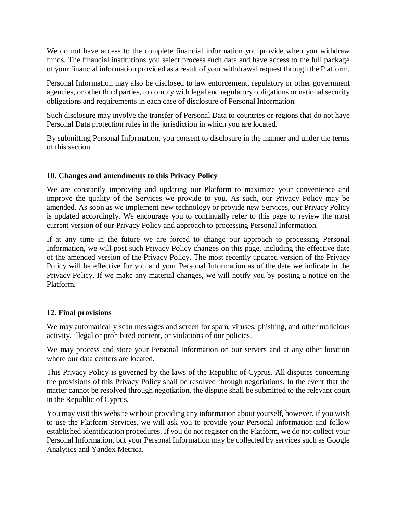We do not have access to the complete financial information you provide when you withdraw funds. The financial institutions you select process such data and have access to the full package of your financial information provided as a result of your withdrawal request through the Platform.

Personal Information may also be disclosed to law enforcement, regulatory or other government agencies, or other third parties, to comply with legal and regulatory obligations or national security obligations and requirements in each case of disclosure of Personal Information.

Such disclosure may involve the transfer of Personal Data to countries or regions that do not have Personal Data protection rules in the jurisdiction in which you are located.

By submitting Personal Information, you consent to disclosure in the manner and under the terms of this section.

## **10. Changes and amendments to this Privacy Policy**

We are constantly improving and updating our Platform to maximize your convenience and improve the quality of the Services we provide to you. As such, our Privacy Policy may be amended. As soon as we implement new technology or provide new Services, our Privacy Policy is updated accordingly. We encourage you to continually refer to this page to review the most current version of our Privacy Policy and approach to processing Personal Information.

If at any time in the future we are forced to change our approach to processing Personal Information, we will post such Privacy Policy changes on this page, including the effective date of the amended version of the Privacy Policy. The most recently updated version of the Privacy Policy will be effective for you and your Personal Information as of the date we indicate in the Privacy Policy. If we make any material changes, we will notify you by posting a notice on the Platform.

## **12. Final provisions**

We may automatically scan messages and screen for spam, viruses, phishing, and other malicious activity, illegal or prohibited content, or violations of our policies.

We may process and store your Personal Information on our servers and at any other location where our data centers are located.

This Privacy Policy is governed by the laws of the Republic of Cyprus. All disputes concerning the provisions of this Privacy Policy shall be resolved through negotiations. In the event that the matter cannot be resolved through negotiation, the dispute shall be submitted to the relevant court in the Republic of Cyprus.

You may visit this website without providing any information about yourself, however, if you wish to use the Platform Services, we will ask you to provide your Personal Information and follow established identification procedures. If you do not register on the Platform, we do not collect your Personal Information, but your Personal Information may be collected by services such as Google Analytics and Yandex Metrica.